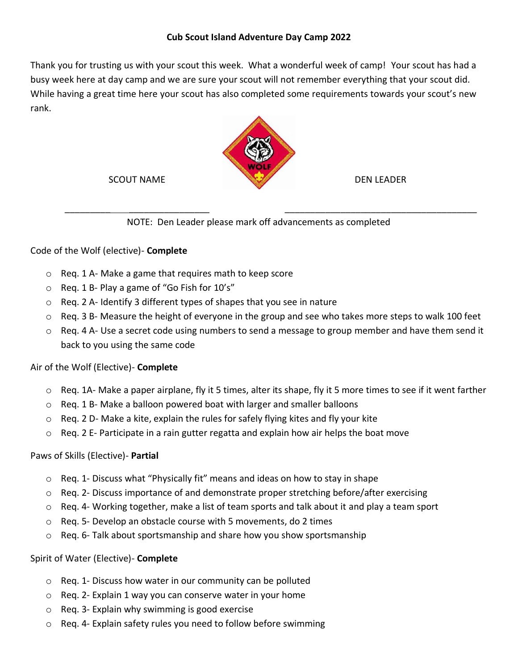## **Cub Scout Island Adventure Day Camp 2022**

Thank you for trusting us with your scout this week. What a wonderful week of camp! Your scout has had a busy week here at day camp and we are sure your scout will not remember everything that your scout did. While having a great time here your scout has also completed some requirements towards your scout's new rank.



SCOUT NAME

\_\_\_\_\_\_\_\_\_ \_\_\_\_\_\_\_\_\_\_\_\_\_\_\_\_

DEN LEADER

\_\_\_\_\_\_\_\_\_\_\_\_\_\_\_\_\_\_\_\_\_\_\_\_\_\_\_\_\_\_\_\_\_\_\_\_\_\_

NOTE: Den Leader please mark off advancements as completed

# Code of the Wolf (elective)- **Complete**

- o Req. 1 A- Make a game that requires math to keep score
- o Req. 1 B- Play a game of "Go Fish for 10's"
- o Req. 2 A- Identify 3 different types of shapes that you see in nature
- o Req. 3 B- Measure the height of everyone in the group and see who takes more steps to walk 100 feet
- o Req. 4 A- Use a secret code using numbers to send a message to group member and have them send it back to you using the same code

# Air of the Wolf (Elective)- **Complete**

- o Req. 1A- Make a paper airplane, fly it 5 times, alter its shape, fly it 5 more times to see if it went farther
- o Req. 1 B- Make a balloon powered boat with larger and smaller balloons
- o Req. 2 D- Make a kite, explain the rules for safely flying kites and fly your kite
- $\circ$  Req. 2 E- Participate in a rain gutter regatta and explain how air helps the boat move

### Paws of Skills (Elective)- **Partial**

- $\circ$  Req. 1- Discuss what "Physically fit" means and ideas on how to stay in shape
- $\circ$  Req. 2- Discuss importance of and demonstrate proper stretching before/after exercising
- $\circ$  Req. 4- Working together, make a list of team sports and talk about it and play a team sport
- o Req. 5- Develop an obstacle course with 5 movements, do 2 times
- $\circ$  Reg. 6- Talk about sportsmanship and share how you show sportsmanship

### Spirit of Water (Elective)- **Complete**

- o Req. 1- Discuss how water in our community can be polluted
- o Req. 2- Explain 1 way you can conserve water in your home
- o Req. 3- Explain why swimming is good exercise
- o Req. 4- Explain safety rules you need to follow before swimming